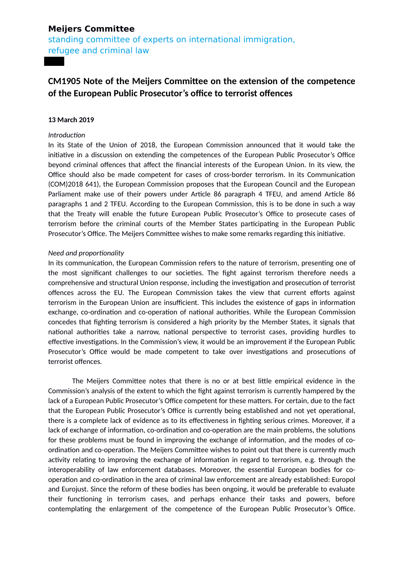## **Meijers Committee**

standing committee of experts on international immigration, refugee and criminal law

# **CM1905 Note of the Meijers Committee on the extension of the competence of the European Public Prosecutor's office to terrorist offences**

#### **13 March 2019**

### *Introduction*

In its State of the Union of 2018, the European Commission announced that it would take the initiative in a discussion on extending the competences of the European Public Prosecutor's Office beyond criminal offences that affect the financial interests of the European Union. In its view, the Office should also be made competent for cases of cross-border terrorism. In its Communication (COM)2018 641), the European Commission proposes that the European Council and the European Parliament make use of their powers under Article 86 paragraph 4 TFEU, and amend Article 86 paragraphs 1 and 2 TFEU. According to the European Commission, this is to be done in such a way that the Treaty will enable the future European Public Prosecutor's Office to prosecute cases of terrorism before the criminal courts of the Member States participating in the European Public Prosecutor's Office. The Meijers Committee wishes to make some remarks regarding this initiative.

### *Need and proportionality*

In its communication, the European Commission refers to the nature of terrorism, presenting one of the most significant challenges to our societies. The fight against terrorism therefore needs a comprehensive and structural Union response, including the investigation and prosecution of terrorist offences across the EU. The European Commission takes the view that current efforts against terrorism in the European Union are insufficient. This includes the existence of gaps in information exchange, co-ordination and co-operation of national authorities. While the European Commission concedes that fighting terrorism is considered a high priority by the Member States, it signals that national authorities take a narrow, national perspective to terrorist cases, providing hurdles to effective investigations. In the Commission's view, it would be an improvement if the European Public Prosecutor's Office would be made competent to take over investigations and prosecutions of terrorist offences.

The Meijers Committee notes that there is no or at best little empirical evidence in the Commission's analysis of the extent to which the fight against terrorism is currently hampered by the lack of a European Public Prosecutor's Office competent for these matters. For certain, due to the fact that the European Public Prosecutor's Office is currently being established and not yet operational, there is a complete lack of evidence as to its effectiveness in fighting serious crimes. Moreover, if a lack of exchange of information, co-ordination and co-operation are the main problems, the solutions for these problems must be found in improving the exchange of information, and the modes of coordination and co-operation. The Meijers Committee wishes to point out that there is currently much activity relating to improving the exchange of information in regard to terrorism, e.g. through the interoperability of law enforcement databases. Moreover, the essential European bodies for cooperation and co-ordination in the area of criminal law enforcement are already established: Europol and Eurojust. Since the reform of these bodies has been ongoing, it would be preferable to evaluate their functioning in terrorism cases, and perhaps enhance their tasks and powers, before contemplating the enlargement of the competence of the European Public Prosecutor's Office.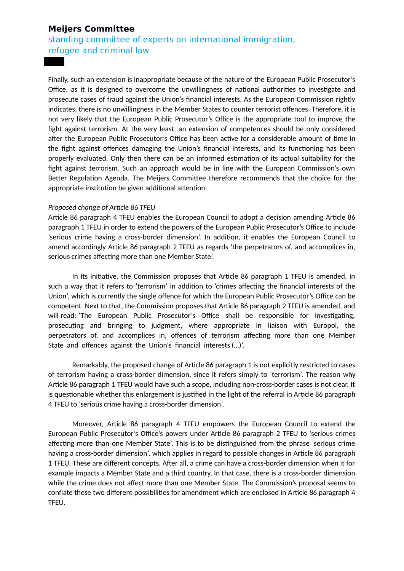## **Meijers Committee**

standing committee of experts on international immigration, refugee and criminal law

Finally, such an extension is inappropriate because of the nature of the European Public Prosecutor's Office, as it is designed to overcome the unwillingness of national authorities to investigate and prosecute cases of fraud against the Union's financial interests. As the European Commission rightly indicates, there is no unwillingness in the Member States to counter terrorist offences. Therefore, it is not very likely that the European Public Prosecutor's Office is the appropriate tool to improve the fight against terrorism. At the very least, an extension of competences should be only considered after the European Public Prosecutor's Office has been active for a considerable amount of time in the fight against offences damaging the Union's financial interests, and its functioning has been properly evaluated. Only then there can be an informed estimation of its actual suitability for the fight against terrorism. Such an approach would be in line with the European Commission's own Better Regulation Agenda. The Meijers Committee therefore recommends that the choice for the appropriate institution be given additional attention.

#### *Proposed change of Article 86 TFEU*

Article 86 paragraph 4 TFEU enables the European Council to adopt a decision amending Article 86 paragraph 1 TFEU in order to extend the powers of the European Public Prosecutor's Office to include 'serious crime having a cross-border dimension'. In addition, it enables the European Council to amend accordingly Article 86 paragraph 2 TFEU as regards 'the perpetrators of, and accomplices in, serious crimes affecting more than one Member State'.

In its initiative, the Commission proposes that Article 86 paragraph 1 TFEU is amended, in such a way that it refers to 'terrorism' in addition to 'crimes affecting the financial interests of the Union', which is currently the single offence for which the European Public Prosecutor's Office can be competent. Next to that, the Commission proposes that Article 86 paragraph 2 TFEU is amended, and will read: 'The European Public Prosecutor's Office shall be responsible for investigating, prosecuting and bringing to judgment, where appropriate in liaison with Europol, the perpetrators of, and accomplices in, offences of terrorism affecting more than one Member State and offences against the Union's financial interests (…)'.

Remarkably, the proposed change of Article 86 paragraph 1 is not explicitly restricted to cases of terrorism having a cross-border dimension, since it refers simply to 'terrorism'. The reason why Article 86 paragraph 1 TFEU would have such a scope, including non-cross-border cases is not clear. It is questionable whether this enlargement is justified in the light of the referral in Article 86 paragraph 4 TFEU to 'serious crime having a cross-border dimension'.

Moreover, Article 86 paragraph 4 TFEU empowers the European Council to extend the European Public Prosecutor's Office's powers under Article 86 paragraph 2 TFEU to 'serious crimes affecting more than one Member State'. This is to be distinguished from the phrase 'serious crime having a cross-border dimension', which applies in regard to possible changes in Article 86 paragraph 1 TFEU. These are different concepts. After all, a crime can have a cross-border dimension when it for example impacts a Member State and a third country. In that case, there is a cross-border dimension while the crime does not affect more than one Member State. The Commission's proposal seems to conflate these two different possibilities for amendment which are enclosed in Article 86 paragraph 4 TFEU.